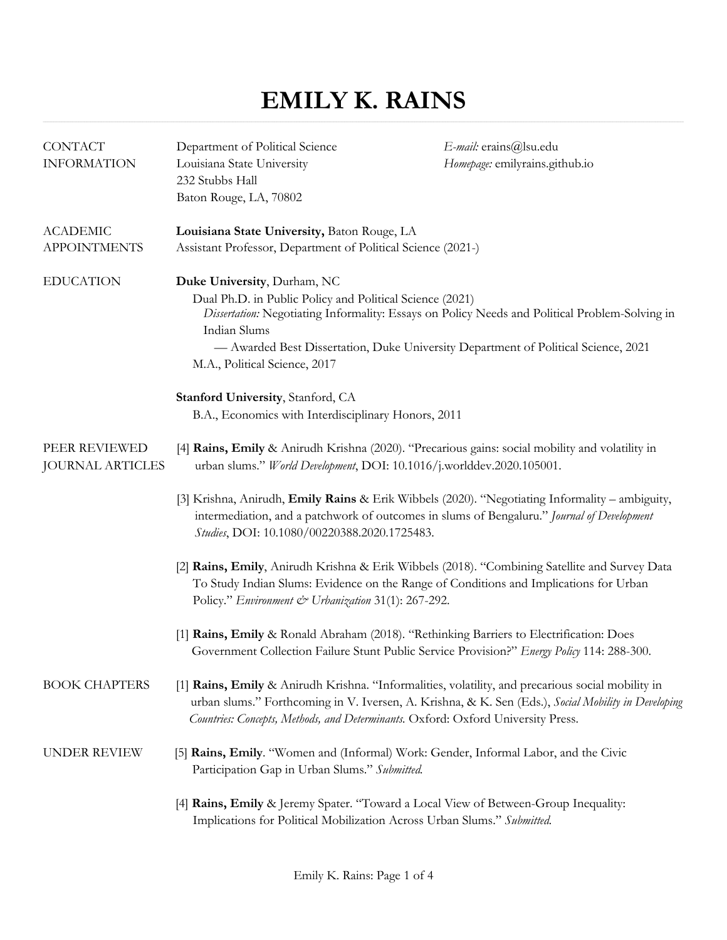## **EMILY K. RAINS**

| <b>CONTACT</b><br><b>INFORMATION</b>     | Department of Political Science<br>Louisiana State University<br>232 Stubbs Hall<br>Baton Rouge, LA, 70802                                                                                                                                    | E-mail: erains@lsu.edu<br>Homepage: emilyrains.github.io                                            |
|------------------------------------------|-----------------------------------------------------------------------------------------------------------------------------------------------------------------------------------------------------------------------------------------------|-----------------------------------------------------------------------------------------------------|
| <b>ACADEMIC</b><br><b>APPOINTMENTS</b>   | Louisiana State University, Baton Rouge, LA<br>Assistant Professor, Department of Political Science (2021-)                                                                                                                                   |                                                                                                     |
| <b>EDUCATION</b>                         | Duke University, Durham, NC<br>Dual Ph.D. in Public Policy and Political Science (2021)<br>Indian Slums<br>- Awarded Best Dissertation, Duke University Department of Political Science, 2021<br>M.A., Political Science, 2017                | Dissertation: Negotiating Informality: Essays on Policy Needs and Political Problem-Solving in      |
|                                          | Stanford University, Stanford, CA<br>B.A., Economics with Interdisciplinary Honors, 2011                                                                                                                                                      |                                                                                                     |
| PEER REVIEWED<br><b>JOURNAL ARTICLES</b> | [4] Rains, Emily & Anirudh Krishna (2020). "Precarious gains: social mobility and volatility in<br>urban slums." World Development, DOI: 10.1016/j.worlddev.2020.105001.                                                                      |                                                                                                     |
|                                          | [3] Krishna, Anirudh, Emily Rains & Erik Wibbels (2020). "Negotiating Informality – ambiguity,<br>intermediation, and a patchwork of outcomes in slums of Bengaluru." Journal of Development<br>Studies, DOI: 10.1080/00220388.2020.1725483.  |                                                                                                     |
|                                          | [2] Rains, Emily, Anirudh Krishna & Erik Wibbels (2018). "Combining Satellite and Survey Data<br>To Study Indian Slums: Evidence on the Range of Conditions and Implications for Urban<br>Policy." Environment & Urbanization 31(1): 267-292. |                                                                                                     |
|                                          | [1] Rains, Emily & Ronald Abraham (2018). "Rethinking Barriers to Electrification: Does<br>Government Collection Failure Stunt Public Service Provision?" Energy Policy 114: 288-300.                                                         |                                                                                                     |
| <b>BOOK CHAPTERS</b>                     | [1] Rains, Emily & Anirudh Krishna. "Informalities, volatility, and precarious social mobility in<br>Countries: Concepts, Methods, and Determinants. Oxford: Oxford University Press.                                                         | urban slums." Forthcoming in V. Iversen, A. Krishna, & K. Sen (Eds.), Social Mobility in Developing |
| UNDER REVIEW                             | [5] Rains, Emily. "Women and (Informal) Work: Gender, Informal Labor, and the Civic<br>Participation Gap in Urban Slums." Submitted.                                                                                                          |                                                                                                     |
|                                          | [4] Rains, Emily & Jeremy Spater. "Toward a Local View of Between-Group Inequality:<br>Implications for Political Mobilization Across Urban Slums." Submitted.                                                                                |                                                                                                     |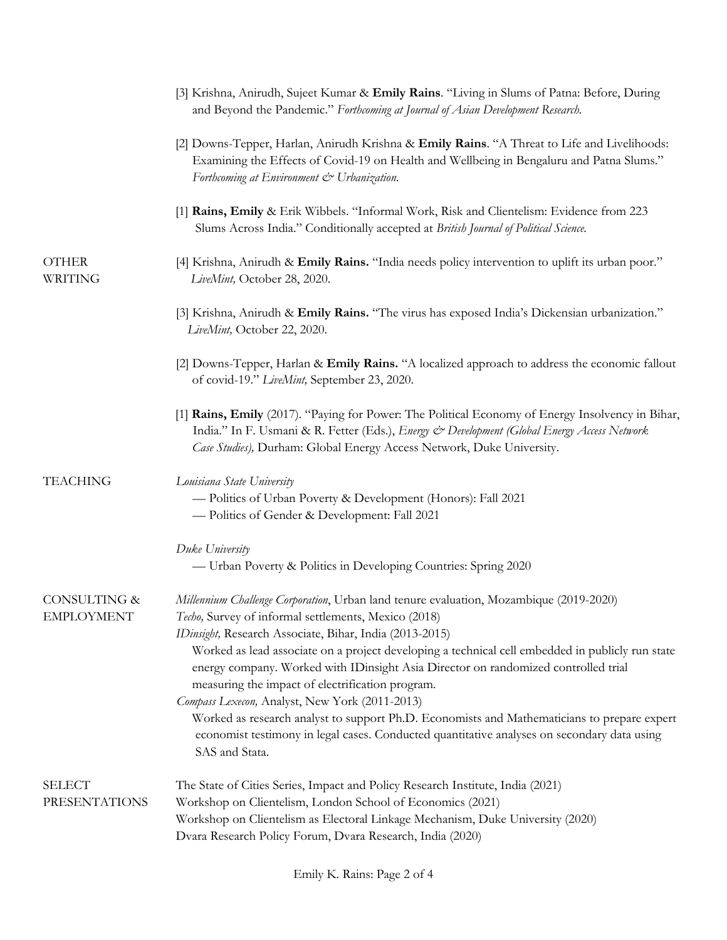|                                       | [3] Krishna, Anirudh, Sujeet Kumar & Emily Rains. "Living in Slums of Patna: Before, During<br>and Beyond the Pandemic." Forthcoming at Journal of Asian Development Research.                                                                                                                                                                                                                                                                                                                                                                                                                                                                                                                                  |
|---------------------------------------|-----------------------------------------------------------------------------------------------------------------------------------------------------------------------------------------------------------------------------------------------------------------------------------------------------------------------------------------------------------------------------------------------------------------------------------------------------------------------------------------------------------------------------------------------------------------------------------------------------------------------------------------------------------------------------------------------------------------|
|                                       | [2] Downs-Tepper, Harlan, Anirudh Krishna & Emily Rains. "A Threat to Life and Livelihoods:<br>Examining the Effects of Covid-19 on Health and Wellbeing in Bengaluru and Patna Slums."<br>Forthcoming at Environment & Urbanization.                                                                                                                                                                                                                                                                                                                                                                                                                                                                           |
|                                       | [1] Rains, Emily & Erik Wibbels. "Informal Work, Risk and Clientelism: Evidence from 223<br>Slums Across India." Conditionally accepted at British Journal of Political Science.                                                                                                                                                                                                                                                                                                                                                                                                                                                                                                                                |
| <b>OTHER</b><br>WRITING               | [4] Krishna, Anirudh & Emily Rains. "India needs policy intervention to uplift its urban poor."<br>LiveMint, October 28, 2020.                                                                                                                                                                                                                                                                                                                                                                                                                                                                                                                                                                                  |
|                                       | [3] Krishna, Anirudh & Emily Rains. "The virus has exposed India's Dickensian urbanization."<br>LiveMint, October 22, 2020.                                                                                                                                                                                                                                                                                                                                                                                                                                                                                                                                                                                     |
|                                       | [2] Downs-Tepper, Harlan & Emily Rains. "A localized approach to address the economic fallout<br>of covid-19." LiveMint, September 23, 2020.                                                                                                                                                                                                                                                                                                                                                                                                                                                                                                                                                                    |
|                                       | [1] Rains, Emily (2017). "Paying for Power: The Political Economy of Energy Insolvency in Bihar,<br>India." In F. Usmani & R. Fetter (Eds.), Energy & Development (Global Energy Access Network<br>Case Studies), Durham: Global Energy Access Network, Duke University.                                                                                                                                                                                                                                                                                                                                                                                                                                        |
| <b>TEACHING</b>                       | Louisiana State University<br>- Politics of Urban Poverty & Development (Honors): Fall 2021<br>- Politics of Gender & Development: Fall 2021                                                                                                                                                                                                                                                                                                                                                                                                                                                                                                                                                                    |
|                                       | Duke University<br>- Urban Poverty & Politics in Developing Countries: Spring 2020                                                                                                                                                                                                                                                                                                                                                                                                                                                                                                                                                                                                                              |
| CONSULTING &<br><b>EMPLOYMENT</b>     | Millennium Challenge Corporation, Urban land tenure evaluation, Mozambique (2019-2020)<br><i>Techo</i> , Survey of informal settlements, Mexico (2018)<br>IDinsight, Research Associate, Bihar, India (2013-2015)<br>Worked as lead associate on a project developing a technical cell embedded in publicly run state<br>energy company. Worked with IDinsight Asia Director on randomized controlled trial<br>measuring the impact of electrification program.<br>Compass Lexecon, Analyst, New York (2011-2013)<br>Worked as research analyst to support Ph.D. Economists and Mathematicians to prepare expert<br>economist testimony in legal cases. Conducted quantitative analyses on secondary data using |
| <b>SELECT</b><br><b>PRESENTATIONS</b> | SAS and Stata.<br>The State of Cities Series, Impact and Policy Research Institute, India (2021)<br>Workshop on Clientelism, London School of Economics (2021)                                                                                                                                                                                                                                                                                                                                                                                                                                                                                                                                                  |
|                                       | Workshop on Clientelism as Electoral Linkage Mechanism, Duke University (2020)<br>Dvara Research Policy Forum, Dvara Research, India (2020)                                                                                                                                                                                                                                                                                                                                                                                                                                                                                                                                                                     |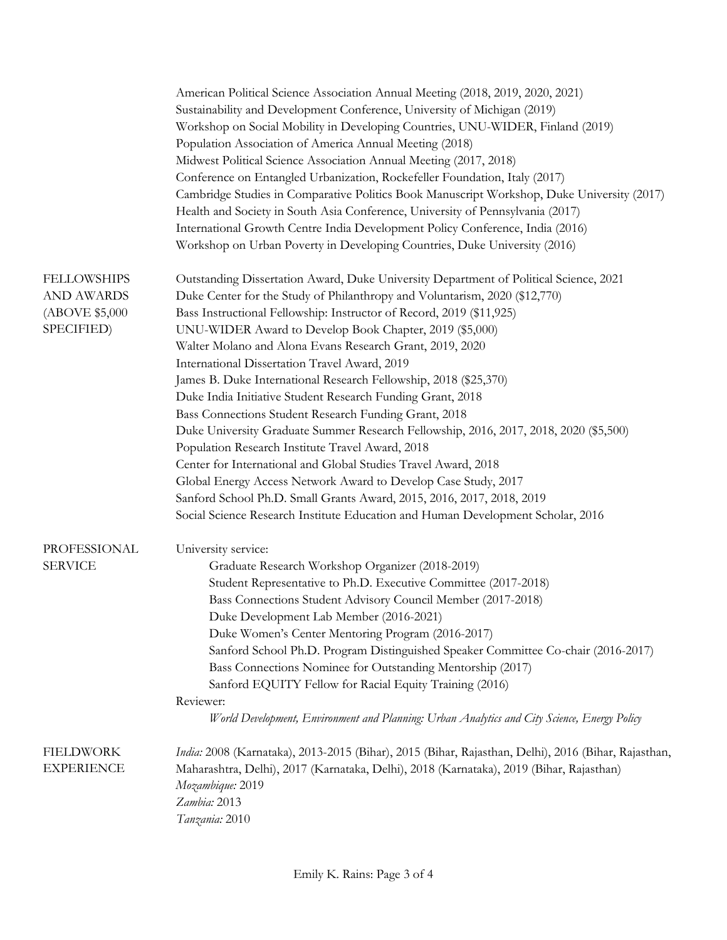|                    | American Political Science Association Annual Meeting (2018, 2019, 2020, 2021)                      |  |
|--------------------|-----------------------------------------------------------------------------------------------------|--|
|                    | Sustainability and Development Conference, University of Michigan (2019)                            |  |
|                    | Workshop on Social Mobility in Developing Countries, UNU-WIDER, Finland (2019)                      |  |
|                    | Population Association of America Annual Meeting (2018)                                             |  |
|                    | Midwest Political Science Association Annual Meeting (2017, 2018)                                   |  |
|                    | Conference on Entangled Urbanization, Rockefeller Foundation, Italy (2017)                          |  |
|                    | Cambridge Studies in Comparative Politics Book Manuscript Workshop, Duke University (2017)          |  |
|                    | Health and Society in South Asia Conference, University of Pennsylvania (2017)                      |  |
|                    | International Growth Centre India Development Policy Conference, India (2016)                       |  |
|                    | Workshop on Urban Poverty in Developing Countries, Duke University (2016)                           |  |
|                    |                                                                                                     |  |
| <b>FELLOWSHIPS</b> | Outstanding Dissertation Award, Duke University Department of Political Science, 2021               |  |
| <b>AND AWARDS</b>  | Duke Center for the Study of Philanthropy and Voluntarism, 2020 (\$12,770)                          |  |
| (ABOVE \$5,000     | Bass Instructional Fellowship: Instructor of Record, 2019 (\$11,925)                                |  |
| SPECIFIED)         | UNU-WIDER Award to Develop Book Chapter, 2019 (\$5,000)                                             |  |
|                    | Walter Molano and Alona Evans Research Grant, 2019, 2020                                            |  |
|                    | International Dissertation Travel Award, 2019                                                       |  |
|                    | James B. Duke International Research Fellowship, 2018 (\$25,370)                                    |  |
|                    | Duke India Initiative Student Research Funding Grant, 2018                                          |  |
|                    | Bass Connections Student Research Funding Grant, 2018                                               |  |
|                    | Duke University Graduate Summer Research Fellowship, 2016, 2017, 2018, 2020 (\$5,500)               |  |
|                    | Population Research Institute Travel Award, 2018                                                    |  |
|                    | Center for International and Global Studies Travel Award, 2018                                      |  |
|                    | Global Energy Access Network Award to Develop Case Study, 2017                                      |  |
|                    | Sanford School Ph.D. Small Grants Award, 2015, 2016, 2017, 2018, 2019                               |  |
|                    | Social Science Research Institute Education and Human Development Scholar, 2016                     |  |
|                    |                                                                                                     |  |
| PROFESSIONAL       | University service:                                                                                 |  |
| <b>SERVICE</b>     | Graduate Research Workshop Organizer (2018-2019)                                                    |  |
|                    | Student Representative to Ph.D. Executive Committee (2017-2018)                                     |  |
|                    | Bass Connections Student Advisory Council Member (2017-2018)                                        |  |
|                    | Duke Development Lab Member (2016-2021)                                                             |  |
|                    | Duke Women's Center Mentoring Program (2016-2017)                                                   |  |
|                    | Sanford School Ph.D. Program Distinguished Speaker Committee Co-chair (2016-2017)                   |  |
|                    | Bass Connections Nominee for Outstanding Mentorship (2017)                                          |  |
|                    | Sanford EQUITY Fellow for Racial Equity Training (2016)                                             |  |
|                    | Reviewer:                                                                                           |  |
|                    | World Development, Environment and Planning: Urban Analytics and City Science, Energy Policy        |  |
|                    |                                                                                                     |  |
| <b>FIELDWORK</b>   | India: 2008 (Karnataka), 2013-2015 (Bihar), 2015 (Bihar, Rajasthan, Delhi), 2016 (Bihar, Rajasthan, |  |
| <b>EXPERIENCE</b>  | Maharashtra, Delhi), 2017 (Karnataka, Delhi), 2018 (Karnataka), 2019 (Bihar, Rajasthan)             |  |
|                    | Mozambique: 2019                                                                                    |  |
|                    | Zambia: 2013                                                                                        |  |
|                    | Tanzania: 2010                                                                                      |  |